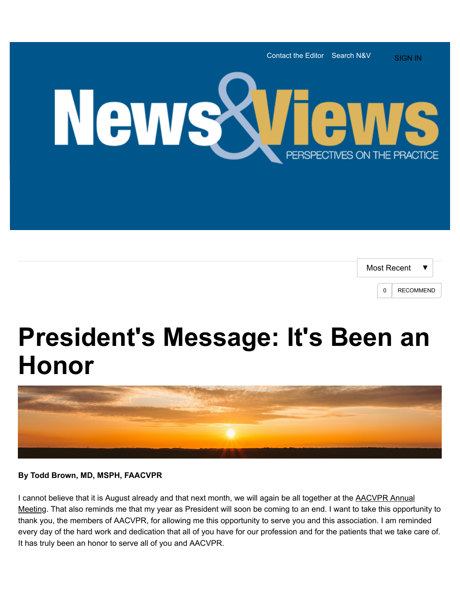



## **President's Message: It's Been an Honor**



## **By Todd Brown, MD, MSPH, FAACVPR**

I cannot believe that it is August already and that next month, we will again be all together at the **AACVPR** Annual [Meeting. That also reminds me that my year as President will soon be coming to an end. I want to take this opportu](http://www.aacvpr.org/Events-Education/33rd-Annual-Meeting/33rd-Annual-Meeting)nity to thank you, the members of AACVPR, for allowing me this opportunity to serve you and this association. I am reminded every day of the hard work and dedication that all of you have for our profession and for the patients that we take care of. It has truly been an honor to serve all of you and AACVPR.